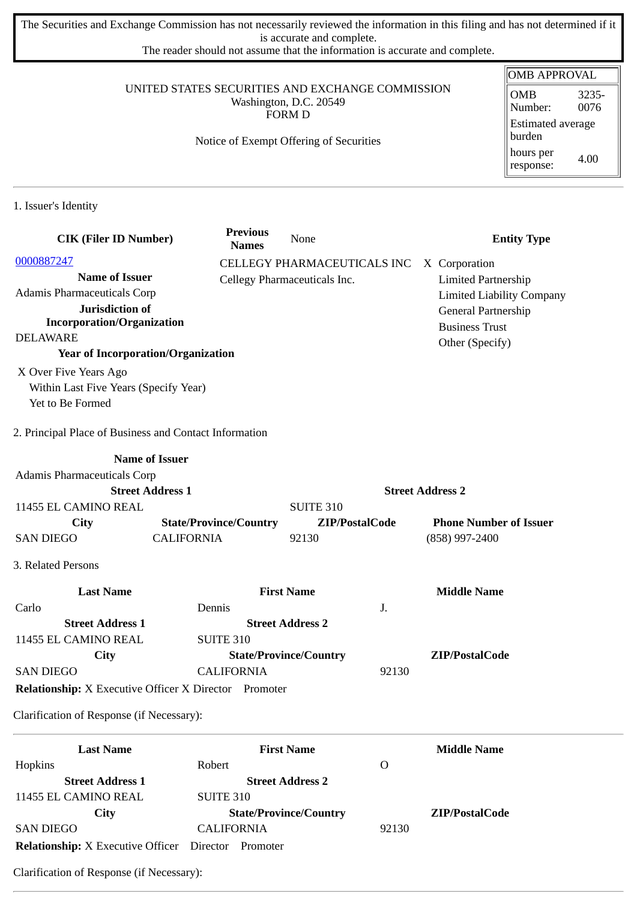The Securities and Exchange Commission has not necessarily reviewed the information in this filing and has not determined if it is accurate and complete.

The reader should not assume that the information is accurate and complete.

#### UNITED STATES SECURITIES AND EXCHANGE COMMISSION Washington, D.C. 20549 FORM D

# Notice of Exempt Offering of Securities

| <b>OMB APPROVAL</b>                |               |  |  |  |
|------------------------------------|---------------|--|--|--|
| OMB<br>Number:                     | 3235-<br>0076 |  |  |  |
| <b>Estimated average</b><br>burden |               |  |  |  |
| hours per<br>response:             | 4.00          |  |  |  |

1. Issuer's Identity

| <b>CIK (Filer ID Number)</b>                                 |                               | <b>Previous</b><br><b>Names</b> | None                          |                         | <b>Entity Type</b>               |
|--------------------------------------------------------------|-------------------------------|---------------------------------|-------------------------------|-------------------------|----------------------------------|
| 0000887247                                                   |                               |                                 | CELLEGY PHARMACEUTICALS INC   |                         | X Corporation                    |
| <b>Name of Issuer</b>                                        |                               | Cellegy Pharmaceuticals Inc.    |                               |                         | <b>Limited Partnership</b>       |
| <b>Adamis Pharmaceuticals Corp</b>                           |                               |                                 |                               |                         | <b>Limited Liability Company</b> |
| Jurisdiction of                                              |                               |                                 |                               |                         | General Partnership              |
| <b>Incorporation/Organization</b>                            |                               |                                 |                               |                         | <b>Business Trust</b>            |
| <b>DELAWARE</b>                                              |                               |                                 |                               |                         | Other (Specify)                  |
| <b>Year of Incorporation/Organization</b>                    |                               |                                 |                               |                         |                                  |
| X Over Five Years Ago                                        |                               |                                 |                               |                         |                                  |
| Within Last Five Years (Specify Year)                        |                               |                                 |                               |                         |                                  |
| Yet to Be Formed                                             |                               |                                 |                               |                         |                                  |
| 2. Principal Place of Business and Contact Information       |                               |                                 |                               |                         |                                  |
|                                                              | <b>Name of Issuer</b>         |                                 |                               |                         |                                  |
| Adamis Pharmaceuticals Corp                                  |                               |                                 |                               |                         |                                  |
|                                                              | <b>Street Address 1</b>       |                                 |                               | <b>Street Address 2</b> |                                  |
| 11455 EL CAMINO REAL                                         |                               |                                 | <b>SUITE 310</b>              |                         |                                  |
| <b>City</b>                                                  | <b>State/Province/Country</b> |                                 | ZIP/PostalCode                |                         | <b>Phone Number of Issuer</b>    |
| <b>SAN DIEGO</b>                                             | <b>CALIFORNIA</b>             |                                 | 92130                         |                         | (858) 997-2400                   |
| 3. Related Persons                                           |                               |                                 |                               |                         |                                  |
| <b>Last Name</b>                                             |                               |                                 | <b>First Name</b>             |                         | <b>Middle Name</b>               |
| Carlo                                                        | Dennis                        |                                 |                               | J.                      |                                  |
| <b>Street Address 1</b>                                      |                               |                                 | <b>Street Address 2</b>       |                         |                                  |
| 11455 EL CAMINO REAL                                         | <b>SUITE 310</b>              |                                 |                               |                         |                                  |
| City                                                         |                               |                                 | <b>State/Province/Country</b> |                         | ZIP/PostalCode                   |
| <b>SAN DIEGO</b>                                             |                               | <b>CALIFORNIA</b>               |                               | 92130                   |                                  |
| <b>Relationship:</b> X Executive Officer X Director Promoter |                               |                                 |                               |                         |                                  |
| Clarification of Response (if Necessary):                    |                               |                                 |                               |                         |                                  |
| <b>Last Name</b>                                             |                               |                                 | <b>First Name</b>             |                         | <b>Middle Name</b>               |

| Last Name                                         | First Name                    |       | Middle Name    |
|---------------------------------------------------|-------------------------------|-------|----------------|
| Hopkins                                           | Robert                        | O     |                |
| <b>Street Address 1</b>                           | <b>Street Address 2</b>       |       |                |
| 11455 EL CAMINO REAL                              | <b>SUITE 310</b>              |       |                |
| City                                              | <b>State/Province/Country</b> |       | ZIP/PostalCode |
| <b>SAN DIEGO</b>                                  | <b>CALIFORNIA</b>             | 92130 |                |
| <b>Relationship:</b> X Executive Officer Director | Promoter                      |       |                |

Clarification of Response (if Necessary):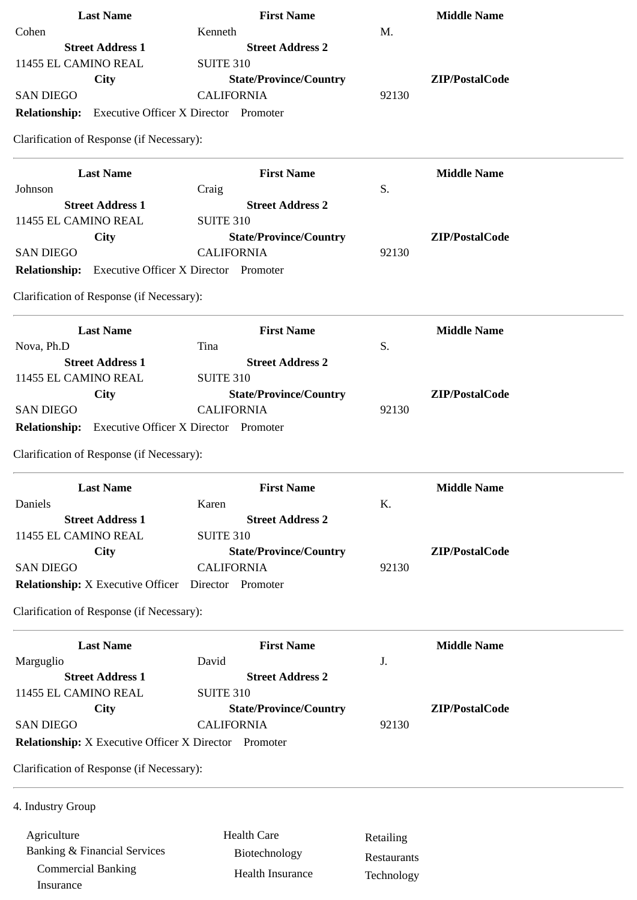| <b>Last Name</b>                                             | <b>First Name</b>                |             | <b>Middle Name</b> |
|--------------------------------------------------------------|----------------------------------|-------------|--------------------|
| Cohen                                                        | Kenneth                          | M.          |                    |
| <b>Street Address 1</b>                                      | <b>Street Address 2</b>          |             |                    |
| 11455 EL CAMINO REAL                                         | <b>SUITE 310</b>                 |             |                    |
| City                                                         | <b>State/Province/Country</b>    |             | ZIP/PostalCode     |
| <b>SAN DIEGO</b>                                             | <b>CALIFORNIA</b>                | 92130       |                    |
| <b>Relationship:</b> Executive Officer X Director Promoter   |                                  |             |                    |
| Clarification of Response (if Necessary):                    |                                  |             |                    |
|                                                              |                                  |             |                    |
| <b>Last Name</b><br>Johnson                                  | <b>First Name</b>                | S.          | <b>Middle Name</b> |
| <b>Street Address 1</b>                                      | Craig<br><b>Street Address 2</b> |             |                    |
| 11455 EL CAMINO REAL                                         | <b>SUITE 310</b>                 |             |                    |
|                                                              | <b>State/Province/Country</b>    |             | ZIP/PostalCode     |
| City<br><b>SAN DIEGO</b>                                     | <b>CALIFORNIA</b>                | 92130       |                    |
|                                                              |                                  |             |                    |
| <b>Relationship:</b> Executive Officer X Director Promoter   |                                  |             |                    |
| Clarification of Response (if Necessary):                    |                                  |             |                    |
| <b>Last Name</b>                                             | <b>First Name</b>                |             | <b>Middle Name</b> |
| Nova, Ph.D                                                   | Tina                             | S.          |                    |
| <b>Street Address 1</b>                                      | <b>Street Address 2</b>          |             |                    |
| 11455 EL CAMINO REAL                                         | <b>SUITE 310</b>                 |             |                    |
| <b>City</b>                                                  | <b>State/Province/Country</b>    |             | ZIP/PostalCode     |
| <b>SAN DIEGO</b>                                             | <b>CALIFORNIA</b>                | 92130       |                    |
| <b>Relationship:</b> Executive Officer X Director Promoter   |                                  |             |                    |
|                                                              |                                  |             |                    |
| Clarification of Response (if Necessary):                    |                                  |             |                    |
| <b>Last Name</b>                                             | <b>First Name</b>                |             | <b>Middle Name</b> |
| Daniels                                                      | Karen                            | K.          |                    |
| <b>Street Address 1</b>                                      | <b>Street Address 2</b>          |             |                    |
| 11455 EL CAMINO REAL                                         | <b>SUITE 310</b>                 |             |                    |
| City                                                         | <b>State/Province/Country</b>    |             | ZIP/PostalCode     |
| <b>SAN DIEGO</b>                                             | <b>CALIFORNIA</b>                | 92130       |                    |
| <b>Relationship:</b> X Executive Officer                     | Director Promoter                |             |                    |
| Clarification of Response (if Necessary):                    |                                  |             |                    |
| <b>Last Name</b>                                             | <b>First Name</b>                |             | <b>Middle Name</b> |
| Marguglio                                                    | David                            | J.          |                    |
| <b>Street Address 1</b>                                      | <b>Street Address 2</b>          |             |                    |
| 11455 EL CAMINO REAL                                         |                                  |             |                    |
|                                                              | <b>SUITE 310</b>                 |             |                    |
| City                                                         | <b>State/Province/Country</b>    |             | ZIP/PostalCode     |
| <b>SAN DIEGO</b>                                             | <b>CALIFORNIA</b>                | 92130       |                    |
| <b>Relationship:</b> X Executive Officer X Director Promoter |                                  |             |                    |
| Clarification of Response (if Necessary):                    |                                  |             |                    |
| 4. Industry Group                                            |                                  |             |                    |
| Agriculture                                                  | <b>Health Care</b>               |             |                    |
| <b>Banking &amp; Financial Services</b>                      |                                  | Retailing   |                    |
|                                                              | Biotechnology                    | Restaurants |                    |
| <b>Commercial Banking</b><br>Insurance                       | <b>Health Insurance</b>          | Technology  |                    |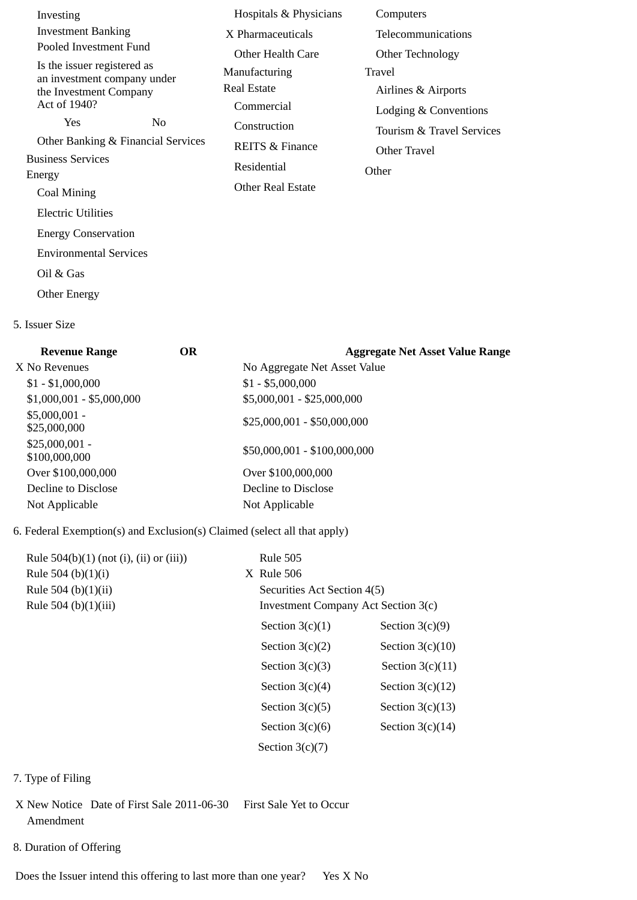| Investing                                                  |                | Hospitals & Physicians     | Computers                 |
|------------------------------------------------------------|----------------|----------------------------|---------------------------|
| <b>Investment Banking</b>                                  |                | X Pharmaceuticals          | Telecommunications        |
| Pooled Investment Fund                                     |                | Other Health Care          | Other Technology          |
| Is the issuer registered as<br>an investment company under |                | Manufacturing              | Travel                    |
| the Investment Company                                     |                | Real Estate                | Airlines & Airports       |
| Act of 1940?                                               |                | Commercial                 | Lodging & Conventions     |
| Yes                                                        | N <sub>0</sub> | Construction               | Tourism & Travel Services |
| Other Banking & Financial Services                         |                | <b>REITS &amp; Finance</b> | Other Travel              |
| <b>Business Services</b>                                   |                | Residential                | Other                     |
| Energy<br>Coal Mining                                      |                | Other Real Estate          |                           |
| <b>Electric Utilities</b>                                  |                |                            |                           |
|                                                            |                |                            |                           |
| <b>Energy Conservation</b>                                 |                |                            |                           |
| <b>Environmental Services</b>                              |                |                            |                           |
| Oil & Gas                                                  |                |                            |                           |
| <b>Other Energy</b>                                        |                |                            |                           |

5. Issuer Size

| OR | <b>Aggregate Net Asset Value Range</b> |
|----|----------------------------------------|
|    | No Aggregate Net Asset Value           |
|    | $$1 - $5,000,000$                      |
|    | \$5,000,001 - \$25,000,000             |
|    | \$25,000,001 - \$50,000,000            |
|    | \$50,000,001 - \$100,000,000           |
|    | Over \$100,000,000                     |
|    | Decline to Disclose                    |
|    | Not Applicable                         |
|    |                                        |

### 6. Federal Exemption(s) and Exclusion(s) Claimed (select all that apply)

| Rule $504(b)(1)$ (not (i), (ii) or (iii)) | <b>Rule 505</b>                     |                    |
|-------------------------------------------|-------------------------------------|--------------------|
| Rule 504 (b) $(1)(i)$                     | X Rule 506                          |                    |
| Rule 504 (b)(1)(ii)                       | Securities Act Section 4(5)         |                    |
| Rule 504 (b)(1)(iii)                      | Investment Company Act Section 3(c) |                    |
|                                           | Section $3(c)(1)$                   | Section $3(c)(9)$  |
|                                           | Section $3(c)(2)$                   | Section $3(c)(10)$ |
|                                           | Section $3(c)(3)$                   | Section $3(c)(11)$ |
|                                           | Section $3(c)(4)$                   | Section $3(c)(12)$ |
|                                           | Section $3(c)(5)$                   | Section $3(c)(13)$ |
|                                           | Section $3(c)(6)$                   | Section $3(c)(14)$ |
|                                           | Section $3(c)(7)$                   |                    |
|                                           |                                     |                    |

- 7. Type of Filing
- X New Notice Date of First Sale 2011-06-30 First Sale Yet to Occur Amendment
- 8. Duration of Offering

Does the Issuer intend this offering to last more than one year? Yes X No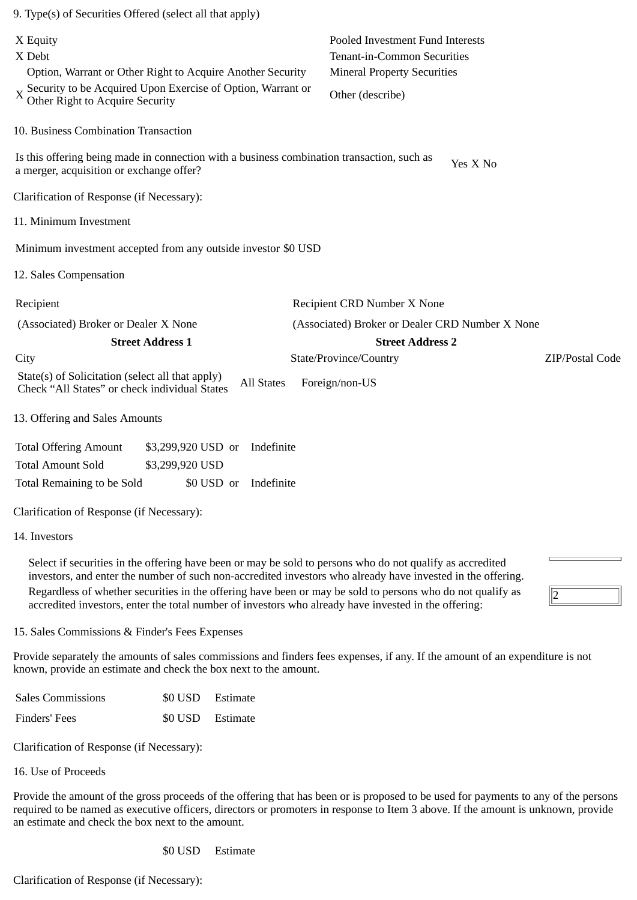| 9. Type(s) of Securities Offered (select all that apply)                                                                                                                                                                                                                                                                                                   |                                                                                            |                                                                 |                 |
|------------------------------------------------------------------------------------------------------------------------------------------------------------------------------------------------------------------------------------------------------------------------------------------------------------------------------------------------------------|--------------------------------------------------------------------------------------------|-----------------------------------------------------------------|-----------------|
| X Equity<br>X Debt                                                                                                                                                                                                                                                                                                                                         |                                                                                            | Pooled Investment Fund Interests<br>Tenant-in-Common Securities |                 |
|                                                                                                                                                                                                                                                                                                                                                            | Option, Warrant or Other Right to Acquire Another Security                                 | <b>Mineral Property Securities</b>                              |                 |
| Other Right to Acquire Security                                                                                                                                                                                                                                                                                                                            | X Security to be Acquired Upon Exercise of Option, Warrant or                              | Other (describe)                                                |                 |
| 10. Business Combination Transaction                                                                                                                                                                                                                                                                                                                       |                                                                                            |                                                                 |                 |
| a merger, acquisition or exchange offer?                                                                                                                                                                                                                                                                                                                   | Is this offering being made in connection with a business combination transaction, such as | Yes X No                                                        |                 |
| Clarification of Response (if Necessary):                                                                                                                                                                                                                                                                                                                  |                                                                                            |                                                                 |                 |
| 11. Minimum Investment                                                                                                                                                                                                                                                                                                                                     |                                                                                            |                                                                 |                 |
|                                                                                                                                                                                                                                                                                                                                                            | Minimum investment accepted from any outside investor \$0 USD                              |                                                                 |                 |
| 12. Sales Compensation                                                                                                                                                                                                                                                                                                                                     |                                                                                            |                                                                 |                 |
| Recipient                                                                                                                                                                                                                                                                                                                                                  |                                                                                            | Recipient CRD Number X None                                     |                 |
| (Associated) Broker or Dealer X None                                                                                                                                                                                                                                                                                                                       |                                                                                            | (Associated) Broker or Dealer CRD Number X None                 |                 |
| <b>Street Address 1</b>                                                                                                                                                                                                                                                                                                                                    |                                                                                            | <b>Street Address 2</b>                                         |                 |
| City                                                                                                                                                                                                                                                                                                                                                       |                                                                                            | State/Province/Country                                          | ZIP/Postal Code |
| State(s) of Solicitation (select all that apply)<br>Check "All States" or check individual States                                                                                                                                                                                                                                                          | <b>All States</b>                                                                          | Foreign/non-US                                                  |                 |
| 13. Offering and Sales Amounts                                                                                                                                                                                                                                                                                                                             |                                                                                            |                                                                 |                 |
| <b>Total Offering Amount</b>                                                                                                                                                                                                                                                                                                                               | \$3,299,920 USD or<br>Indefinite                                                           |                                                                 |                 |
| <b>Total Amount Sold</b>                                                                                                                                                                                                                                                                                                                                   | \$3,299,920 USD                                                                            |                                                                 |                 |
| Total Remaining to be Sold                                                                                                                                                                                                                                                                                                                                 | \$0 USD or<br>Indefinite                                                                   |                                                                 |                 |
| Clarification of Response (if Necessary):                                                                                                                                                                                                                                                                                                                  |                                                                                            |                                                                 |                 |
| 14. Investors                                                                                                                                                                                                                                                                                                                                              |                                                                                            |                                                                 |                 |
| $\alpha$ 1 . $\alpha$ . $\alpha$ . $\alpha$ . $\alpha$ . $\alpha$ . $\alpha$ . $\alpha$ . $\alpha$ . $\alpha$ . $\alpha$ . $\alpha$ . $\alpha$ . $\alpha$ . $\alpha$ . $\alpha$ . $\alpha$ . $\alpha$ . $\alpha$ . $\alpha$ . $\alpha$ . $\alpha$ . $\alpha$ . $\alpha$ . $\alpha$ . $\alpha$ . $\alpha$ . $\alpha$ . $\alpha$ . $\alpha$ . $\alpha$ . $\$ | $\mathbf{1}$ $\mathbf{1}$                                                                  | $\mathbf{r} \cdot \mathbf{r}$                                   |                 |

Select if securities in the offering have been or may be sold to persons who do not qualify as accredited investors, and enter the number of such non-accredited investors who already have invested in the offering. Regardless of whether securities in the offering have been or may be sold to persons who do not qualify as accredited investors, enter the total number of investors who already have invested in the offering:

15. Sales Commissions & Finder's Fees Expenses

Provide separately the amounts of sales commissions and finders fees expenses, if any. If the amount of an expenditure is not known, provide an estimate and check the box next to the amount.

 $\sqrt{2}$ 

| <b>Sales Commissions</b> | \$0 USD Estimate |
|--------------------------|------------------|
| Finders' Fees            | \$0 USD Estimate |

Clarification of Response (if Necessary):

16. Use of Proceeds

Provide the amount of the gross proceeds of the offering that has been or is proposed to be used for payments to any of the persons required to be named as executive officers, directors or promoters in response to Item 3 above. If the amount is unknown, provide an estimate and check the box next to the amount.

\$0 USD Estimate